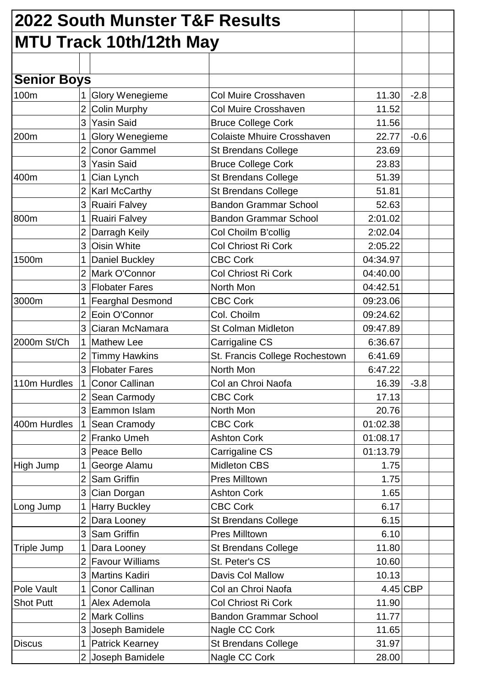|                    |                | 2022 South Munster T&F Results |                                   |          |            |  |
|--------------------|----------------|--------------------------------|-----------------------------------|----------|------------|--|
|                    |                | <b>MTU Track 10th/12th May</b> |                                   |          |            |  |
|                    |                |                                |                                   |          |            |  |
| <b>Senior Boys</b> |                |                                |                                   |          |            |  |
| 100m               | $\mathbf 1$    | <b>Glory Wenegieme</b>         | Col Muire Crosshaven              | 11.30    | $-2.8$     |  |
|                    | $\overline{2}$ | Colin Murphy                   | Col Muire Crosshaven              | 11.52    |            |  |
|                    | 3              | <b>Yasin Said</b>              | <b>Bruce College Cork</b>         | 11.56    |            |  |
| 200m               | $\mathbf{1}$   | <b>Glory Wenegieme</b>         | <b>Colaiste Mhuire Crosshaven</b> | 22.77    | $-0.6$     |  |
|                    | $\overline{2}$ | <b>Conor Gammel</b>            | <b>St Brendans College</b>        | 23.69    |            |  |
|                    | 3              | <b>Yasin Said</b>              | <b>Bruce College Cork</b>         | 23.83    |            |  |
| 400m               |                | Cian Lynch                     | St Brendans College               | 51.39    |            |  |
|                    | $\overline{2}$ | Karl McCarthy                  | <b>St Brendans College</b>        | 51.81    |            |  |
|                    | 3              | <b>Ruairi Falvey</b>           | <b>Bandon Grammar School</b>      | 52.63    |            |  |
| 800m               |                | <b>Ruairi Falvey</b>           | <b>Bandon Grammar School</b>      | 2:01.02  |            |  |
|                    | 2 <sup>1</sup> | Darragh Keily                  | Col Choilm B'collig               | 2:02.04  |            |  |
|                    | 3              | <b>Oisin White</b>             | Col Chriost Ri Cork               | 2:05.22  |            |  |
| 1500m              | $\mathbf 1$    | Daniel Buckley                 | <b>CBC Cork</b>                   | 04:34.97 |            |  |
|                    | $\overline{2}$ | Mark O'Connor                  | <b>Col Chriost Ri Cork</b>        | 04:40.00 |            |  |
|                    | 3 <sup>1</sup> | <b>Flobater Fares</b>          | North Mon                         | 04:42.51 |            |  |
| 3000m              |                | <b>Fearghal Desmond</b>        | <b>CBC Cork</b>                   | 09:23.06 |            |  |
|                    | $\overline{2}$ | Eoin O'Connor                  | Col. Choilm                       | 09:24.62 |            |  |
|                    | 3              | Ciaran McNamara                | <b>St Colman Midleton</b>         | 09:47.89 |            |  |
| 2000m St/Ch        | $\mathbf{1}$   | <b>Mathew Lee</b>              | Carrigaline CS                    | 6:36.67  |            |  |
|                    | $\overline{2}$ | <b>Timmy Hawkins</b>           | St. Francis College Rochestown    | 6:41.69  |            |  |
|                    | 3              | <b>Flobater Fares</b>          | North Mon                         | 6:47.22  |            |  |
| 110m Hurdles       |                | <b>Conor Callinan</b>          | Col an Chroi Naofa                | 16.39    | $-3.8$     |  |
|                    |                | Sean Carmody                   | <b>CBC Cork</b>                   | 17.13    |            |  |
|                    | 3              | Eammon Islam                   | North Mon                         | 20.76    |            |  |
| 400m Hurdles       | $\mathbf 1$    | Sean Cramody                   | <b>CBC Cork</b>                   | 01:02.38 |            |  |
|                    |                | 2 Franko Umeh                  | <b>Ashton Cork</b>                | 01:08.17 |            |  |
|                    | 3              | Peace Bello                    | Carrigaline CS                    | 01:13.79 |            |  |
| High Jump          | 1              | George Alamu                   | <b>Midleton CBS</b>               | 1.75     |            |  |
|                    | $\overline{2}$ | Sam Griffin                    | <b>Pres Milltown</b>              | 1.75     |            |  |
|                    | 3 <sup>1</sup> | Cian Dorgan                    | <b>Ashton Cork</b>                | 1.65     |            |  |
| Long Jump          | $\mathbf 1$    | <b>Harry Buckley</b>           | <b>CBC Cork</b>                   | 6.17     |            |  |
|                    | 2 <sup>1</sup> | Dara Looney                    | <b>St Brendans College</b>        | 6.15     |            |  |
|                    | 3              | <b>Sam Griffin</b>             | <b>Pres Milltown</b>              | 6.10     |            |  |
| <b>Triple Jump</b> |                | Dara Looney                    | <b>St Brendans College</b>        | 11.80    |            |  |
|                    | 2 <sup>1</sup> | <b>Favour Williams</b>         | St. Peter's CS                    | 10.60    |            |  |
|                    | 3              | Martins Kadiri                 | Davis Col Mallow                  | 10.13    |            |  |
| Pole Vault         |                | <b>Conor Callinan</b>          | Col an Chroi Naofa                |          | $4.45$ CBP |  |
| <b>Shot Putt</b>   |                | Alex Ademola                   | Col Chriost Ri Cork               | 11.90    |            |  |
|                    | 2 <sup>1</sup> | <b>Mark Collins</b>            | <b>Bandon Grammar School</b>      | 11.77    |            |  |
|                    | 3 <sup>1</sup> | Joseph Bamidele                | Nagle CC Cork                     | 11.65    |            |  |
| <b>Discus</b>      | 1 <sup>1</sup> | <b>Patrick Kearney</b>         | St Brendans College               | 31.97    |            |  |
|                    |                | 2 Joseph Bamidele              | Nagle CC Cork                     | 28.00    |            |  |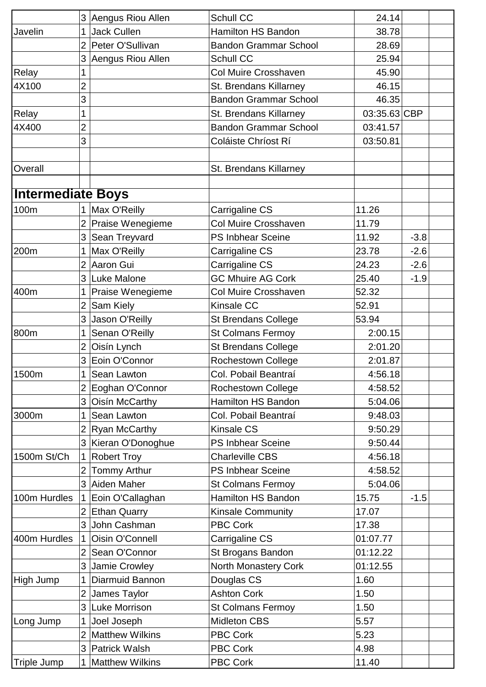|                          |                | 3 Aengus Riou Allen    | <b>Schull CC</b>             | 24.14        |        |
|--------------------------|----------------|------------------------|------------------------------|--------------|--------|
| Javelin                  |                | Jack Cullen            | <b>Hamilton HS Bandon</b>    | 38.78        |        |
|                          | $\overline{2}$ | Peter O'Sullivan       | <b>Bandon Grammar School</b> | 28.69        |        |
|                          | 3              | Aengus Riou Allen      | Schull CC                    | 25.94        |        |
| Relay                    | 1              |                        | <b>Col Muire Crosshaven</b>  | 45.90        |        |
| 4X100                    | $\overline{2}$ |                        | St. Brendans Killarney       | 46.15        |        |
|                          | 3              |                        | <b>Bandon Grammar School</b> | 46.35        |        |
| Relay                    | 1              |                        | St. Brendans Killarney       | 03:35.63 CBP |        |
| 4X400                    | $\overline{c}$ |                        | <b>Bandon Grammar School</b> | 03:41.57     |        |
|                          | 3              |                        | Coláiste Chríost Rí          | 03:50.81     |        |
|                          |                |                        |                              |              |        |
| Overall                  |                |                        | St. Brendans Killarney       |              |        |
|                          |                |                        |                              |              |        |
| <b>Intermediate Boys</b> |                |                        |                              |              |        |
| 100m                     |                | Max O'Reilly           | Carrigaline CS               | 11.26        |        |
|                          |                | Praise Wenegieme       | <b>Col Muire Crosshaven</b>  | 11.79        |        |
|                          | 3              | Sean Treyvard          | <b>PS Inbhear Sceine</b>     | 11.92        | $-3.8$ |
| 200m                     |                | Max O'Reilly           | Carrigaline CS               | 23.78        | $-2.6$ |
|                          |                | 2 Aaron Gui            | Carrigaline CS               | 24.23        | $-2.6$ |
|                          | 3 <sup>1</sup> | Luke Malone            | <b>GC Mhuire AG Cork</b>     | 25.40        | $-1.9$ |
| 400m                     |                | Praise Wenegieme       | <b>Col Muire Crosshaven</b>  | 52.32        |        |
|                          | $\overline{2}$ | Sam Kiely              | Kinsale CC                   | 52.91        |        |
|                          | 3              | Jason O'Reilly         | <b>St Brendans College</b>   | 53.94        |        |
| 800m                     |                | Senan O'Reilly         | <b>St Colmans Fermoy</b>     | 2:00.15      |        |
|                          | $\overline{2}$ | Oisín Lynch            | <b>St Brendans College</b>   | 2:01.20      |        |
|                          | 3              | Eoin O'Connor          | Rochestown College           | 2:01.87      |        |
| 1500m                    | $\mathbf 1$    | Sean Lawton            | Col. Pobail Beantraí         | 4:56.18      |        |
|                          |                | 2 Eoghan O'Connor      | <b>Rochestown College</b>    | 4:58.52      |        |
|                          | 3              | Oisín McCarthy         | Hamilton HS Bandon           | 5:04.06      |        |
| 3000m                    | 1.             | Sean Lawton            | Col. Pobail Beantraí         | 9:48.03      |        |
|                          | $\overline{2}$ | Ryan McCarthy          | <b>Kinsale CS</b>            | 9:50.29      |        |
|                          | 3              | Kieran O'Donoghue      | <b>PS Inbhear Sceine</b>     | 9:50.44      |        |
| 1500m St/Ch              |                | <b>Robert Troy</b>     | <b>Charleville CBS</b>       | 4:56.18      |        |
|                          | 2 <sup>1</sup> | Tommy Arthur           | PS Inbhear Sceine            | 4:58.52      |        |
|                          |                | 3 Aiden Maher          | <b>St Colmans Fermoy</b>     | 5:04.06      |        |
| 100m Hurdles             | 1              | Eoin O'Callaghan       | <b>Hamilton HS Bandon</b>    | 15.75        | $-1.5$ |
|                          | $\overline{2}$ | <b>Ethan Quarry</b>    | <b>Kinsale Community</b>     | 17.07        |        |
|                          | 3              | John Cashman           | <b>PBC Cork</b>              | 17.38        |        |
| 400m Hurdles             | $\mathbf{1}$   | Oisin O'Connell        | Carrigaline CS               | 01:07.77     |        |
|                          |                | 2 Sean O'Connor        | St Brogans Bandon            | 01:12.22     |        |
|                          | 3              | Jamie Crowley          | North Monastery Cork         | 01:12.55     |        |
| High Jump                |                | Diarmuid Bannon        | Douglas CS                   | 1.60         |        |
|                          | $\overline{2}$ | James Taylor           | <b>Ashton Cork</b>           | 1.50         |        |
|                          | 3              | <b>Luke Morrison</b>   | <b>St Colmans Fermoy</b>     | 1.50         |        |
| Long Jump                |                | Joel Joseph            | <b>Midleton CBS</b>          | 5.57         |        |
|                          | $\overline{2}$ | <b>Matthew Wilkins</b> | <b>PBC Cork</b>              | 5.23         |        |
|                          |                | 3 Patrick Walsh        | <b>PBC Cork</b>              | 4.98         |        |
| <b>Triple Jump</b>       |                | <b>Matthew Wilkins</b> | PBC Cork                     | 11.40        |        |
|                          |                |                        |                              |              |        |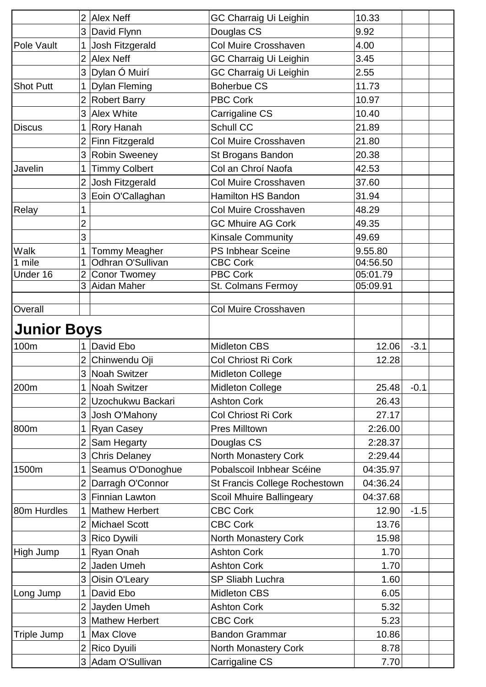|                    | $\overline{2}$ | <b>Alex Neff</b>      | GC Charraig Ui Leighin        | 10.33    |        |  |
|--------------------|----------------|-----------------------|-------------------------------|----------|--------|--|
|                    | 3              | David Flynn           | Douglas CS                    | 9.92     |        |  |
| Pole Vault         | 1              | Josh Fitzgerald       | Col Muire Crosshaven          | 4.00     |        |  |
|                    | $\overline{2}$ | <b>Alex Neff</b>      | <b>GC Charraig Ui Leighin</b> | 3.45     |        |  |
|                    | 3              | Dylan Ó Muirí         | <b>GC Charraig Ui Leighin</b> | 2.55     |        |  |
| <b>Shot Putt</b>   | $\mathbf 1$    | <b>Dylan Fleming</b>  | <b>Boherbue CS</b>            | 11.73    |        |  |
|                    | $\overline{2}$ | <b>Robert Barry</b>   | <b>PBC Cork</b>               | 10.97    |        |  |
|                    | 3              | <b>Alex White</b>     | Carrigaline CS                | 10.40    |        |  |
| Discus             | 1              | <b>Rory Hanah</b>     | <b>Schull CC</b>              | 21.89    |        |  |
|                    | $\overline{2}$ | Finn Fitzgerald       | Col Muire Crosshaven          | 21.80    |        |  |
|                    | 3              | <b>Robin Sweeney</b>  | St Brogans Bandon             | 20.38    |        |  |
| Javelin            | 1              | <b>Timmy Colbert</b>  | Col an Chroí Naofa            | 42.53    |        |  |
|                    | $\overline{2}$ | Josh Fitzgerald       | Col Muire Crosshaven          | 37.60    |        |  |
|                    | 3              | Eoin O'Callaghan      | <b>Hamilton HS Bandon</b>     | 31.94    |        |  |
| <b>Relay</b>       |                |                       | <b>Col Muire Crosshaven</b>   | 48.29    |        |  |
|                    | 2              |                       | <b>GC Mhuire AG Cork</b>      | 49.35    |        |  |
|                    | 3              |                       | <b>Kinsale Community</b>      | 49.69    |        |  |
| Walk               |                | <b>Tommy Meagher</b>  | <b>PS Inbhear Sceine</b>      | 9.55.80  |        |  |
| 1 mile             | 1              | Odhran O'Sullivan     | <b>CBC Cork</b>               | 04:56.50 |        |  |
| Under 16           | $\overline{2}$ | <b>Conor Twomey</b>   | <b>PBC Cork</b>               | 05:01.79 |        |  |
|                    | 3              | Aidan Maher           | St. Colmans Fermoy            | 05:09.91 |        |  |
|                    |                |                       |                               |          |        |  |
| Overall            |                |                       | Col Muire Crosshaven          |          |        |  |
| <b>Junior Boys</b> |                |                       |                               |          |        |  |
| 100m               |                | David Ebo             | <b>Midleton CBS</b>           | 12.06    | $-3.1$ |  |
|                    | $\overline{2}$ | Chinwendu Oji         | Col Chriost Ri Cork           | 12.28    |        |  |
|                    | 3              | Noah Switzer          | <b>Midleton College</b>       |          |        |  |
| 200m               | 1.             | Noah Switzer          | <b>Midleton College</b>       | 25.48    | $-0.1$ |  |
|                    | $\overline{2}$ | Uzochukwu Backari     | <b>Ashton Cork</b>            | 26.43    |        |  |
|                    | 3              | Josh O'Mahony         | Col Chriost Ri Cork           | 27.17    |        |  |
| 800m               | 1              | Ryan Casey            | Pres Milltown                 | 2:26.00  |        |  |
|                    | $\overline{2}$ | Sam Hegarty           | Douglas CS                    | 2:28.37  |        |  |
|                    | 3              | <b>Chris Delaney</b>  | North Monastery Cork          | 2:29.44  |        |  |
| 1500m              |                | Seamus O'Donoghue     | Pobalscoil Inbhear Scéine     | 04:35.97 |        |  |
|                    | $\overline{2}$ | Darragh O'Connor      | St Francis College Rochestown | 04:36.24 |        |  |
|                    | 3 <sup>1</sup> | Finnian Lawton        | Scoil Mhuire Ballingeary      | 04:37.68 |        |  |
| 80m Hurdles        | 1              | <b>Mathew Herbert</b> | <b>CBC Cork</b>               | 12.90    | $-1.5$ |  |
|                    | $\overline{2}$ | Michael Scott         | <b>CBC Cork</b>               | 13.76    |        |  |
|                    | 3              | <b>Rico Dywili</b>    | North Monastery Cork          | 15.98    |        |  |
| High Jump          | 1              | Ryan Onah             | <b>Ashton Cork</b>            | 1.70     |        |  |
|                    | $\overline{2}$ | Jaden Umeh            | <b>Ashton Cork</b>            | 1.70     |        |  |
|                    | 3              | Oisin O'Leary         | SP Sliabh Luchra              | 1.60     |        |  |
| Long Jump          | 1              | David Ebo             | <b>Midleton CBS</b>           | 6.05     |        |  |
|                    | $\overline{2}$ | Jayden Umeh           | <b>Ashton Cork</b>            | 5.32     |        |  |
|                    | 3 <sup>1</sup> | Mathew Herbert        | <b>CBC Cork</b>               | 5.23     |        |  |
| Triple Jump        | $\mathbf{1}$   | Max Clove             | <b>Bandon Grammar</b>         | 10.86    |        |  |
|                    |                | 2 Rico Dyuili         | North Monastery Cork          | 8.78     |        |  |
|                    |                | 3 Adam O'Sullivan     | Carrigaline CS                | 7.70     |        |  |
|                    |                |                       |                               |          |        |  |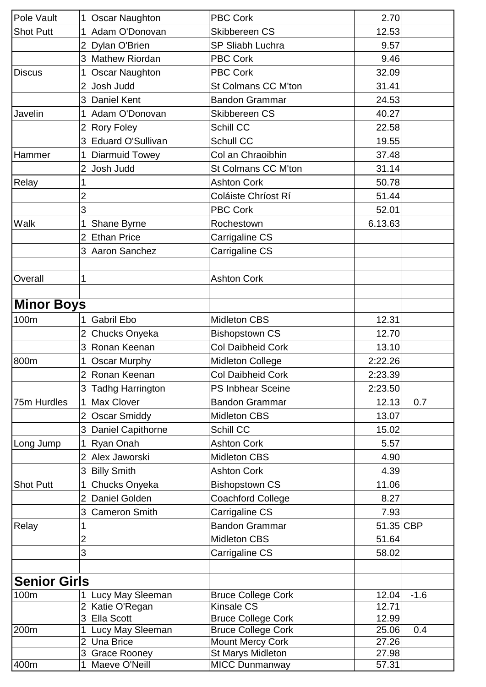| Pole Vault        | 1              | <b>Oscar Naughton</b>                | <b>PBC Cork</b>                            | 2.70           |        |  |
|-------------------|----------------|--------------------------------------|--------------------------------------------|----------------|--------|--|
| <b>Shot Putt</b>  | 1              | Adam O'Donovan                       | Skibbereen CS                              | 12.53          |        |  |
|                   | $\overline{2}$ | Dylan O'Brien                        | <b>SP Sliabh Luchra</b>                    | 9.57           |        |  |
|                   | 3              | <b>Mathew Riordan</b>                | <b>PBC Cork</b>                            | 9.46           |        |  |
| <b>Discus</b>     | 1              | <b>Oscar Naughton</b>                | <b>PBC Cork</b>                            | 32.09          |        |  |
|                   | $\overline{2}$ | Josh Judd                            | St Colmans CC M'ton                        | 31.41          |        |  |
|                   | 3              | <b>Daniel Kent</b>                   | <b>Bandon Grammar</b>                      | 24.53          |        |  |
| Javelin           |                | Adam O'Donovan                       | Skibbereen CS                              | 40.27          |        |  |
|                   | $\overline{2}$ | <b>Rory Foley</b>                    | <b>Schill CC</b>                           | 22.58          |        |  |
|                   | 3              | Eduard O'Sullivan                    | Schull CC                                  | 19.55          |        |  |
| Hammer            | 1              | <b>Diarmuid Towey</b>                | Col an Chraoibhin                          | 37.48          |        |  |
|                   | $\overline{2}$ | Josh Judd                            | St Colmans CC M'ton                        | 31.14          |        |  |
| Relay             | 1              |                                      | <b>Ashton Cork</b>                         | 50.78          |        |  |
|                   | $\overline{2}$ |                                      | Coláiste Chríost Rí                        | 51.44          |        |  |
|                   | 3              |                                      | <b>PBC Cork</b>                            | 52.01          |        |  |
| <b>Walk</b>       | 1              | Shane Byrne                          | Rochestown                                 | 6.13.63        |        |  |
|                   | $\overline{2}$ | <b>Ethan Price</b>                   | Carrigaline CS                             |                |        |  |
|                   | 3              | Aaron Sanchez                        | Carrigaline CS                             |                |        |  |
|                   |                |                                      |                                            |                |        |  |
| Overall           | 1              |                                      | <b>Ashton Cork</b>                         |                |        |  |
|                   |                |                                      |                                            |                |        |  |
| <b>Minor Boys</b> |                |                                      |                                            |                |        |  |
| 100m              |                | <b>Gabril Ebo</b>                    | <b>Midleton CBS</b>                        | 12.31          |        |  |
|                   | $\overline{2}$ | Chucks Onyeka                        | <b>Bishopstown CS</b>                      | 12.70          |        |  |
|                   | 3              | Ronan Keenan                         | <b>Col Daibheid Cork</b>                   | 13.10          |        |  |
| 800m              |                | <b>Oscar Murphy</b>                  | <b>Midleton College</b>                    | 2:22.26        |        |  |
|                   | 2              | Ronan Keenan                         | <b>Col Daibheid Cork</b>                   | 2:23.39        |        |  |
|                   | 3              | Tadhg Harrington                     | <b>PS Inbhear Sceine</b>                   | 2:23.50        |        |  |
| 75m Hurdles       | $\mathbf 1$    | <b>Max Clover</b>                    | <b>Bandon Grammar</b>                      | 12.13          | 0.7    |  |
|                   | $\overline{2}$ | <b>Oscar Smiddy</b>                  | <b>Midleton CBS</b>                        | 13.07          |        |  |
|                   | 3              | Daniel Capithorne                    | Schill CC                                  | 15.02          |        |  |
| Long Jump         | 1              | Ryan Onah                            | <b>Ashton Cork</b>                         | 5.57           |        |  |
|                   | $\overline{2}$ | Alex Jaworski                        | <b>Midleton CBS</b>                        | 4.90           |        |  |
|                   | 3              | <b>Billy Smith</b>                   | <b>Ashton Cork</b>                         | 4.39           |        |  |
| <b>Shot Putt</b>  | 1              | Chucks Onyeka                        | <b>Bishopstown CS</b>                      | 11.06          |        |  |
|                   | $\overline{2}$ | Daniel Golden                        | <b>Coachford College</b>                   | 8.27           |        |  |
|                   | 3              | <b>Cameron Smith</b>                 | Carrigaline CS                             | 7.93           |        |  |
| Relay             |                |                                      | <b>Bandon Grammar</b>                      | 51.35 CBP      |        |  |
|                   | $\overline{2}$ |                                      | <b>Midleton CBS</b>                        | 51.64          |        |  |
|                   | 3              |                                      | Carrigaline CS                             | 58.02          |        |  |
|                   |                |                                      |                                            |                |        |  |
| Senior Girls      |                |                                      |                                            |                |        |  |
| 100m              |                | Lucy May Sleeman                     | <b>Bruce College Cork</b>                  | 12.04          | $-1.6$ |  |
|                   | $\overline{2}$ | Katie O'Regan                        | Kinsale CS                                 | 12.71          |        |  |
|                   | 3              | Ella Scott                           | <b>Bruce College Cork</b>                  | 12.99          |        |  |
| 200m              | $\mathbf 1$    | Lucy May Sleeman                     | <b>Bruce College Cork</b>                  | 25.06          | 0.4    |  |
|                   | $\overline{2}$ | Una Brice                            | <b>Mount Mercy Cork</b>                    | 27.26          |        |  |
| 400m              | 3              | <b>Grace Rooney</b><br>Maeve O'Neill | St Marys Midleton<br><b>MICC Dunmanway</b> | 27.98<br>57.31 |        |  |
|                   |                |                                      |                                            |                |        |  |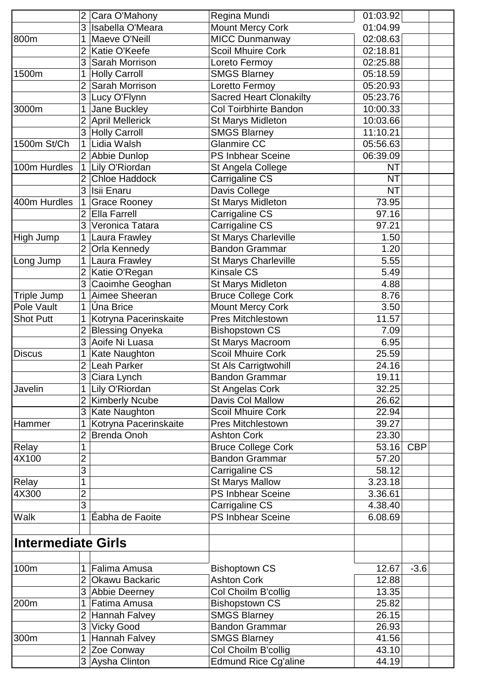|                    |                | Cara O'Mahony          | Regina Mundi                   | 01:03.92  |            |
|--------------------|----------------|------------------------|--------------------------------|-----------|------------|
|                    | 3              | Isabella O'Meara       | Mount Mercy Cork               | 01:04.99  |            |
| 800m               |                | Maeve O'Neill          | <b>MICC Dunmanway</b>          | 02:08.63  |            |
|                    | $\overline{2}$ | Katie O'Keefe          | <b>Scoil Mhuire Cork</b>       | 02:18.81  |            |
|                    | 3              | Sarah Morrison         | Loreto Fermoy                  | 02:25.88  |            |
| 1500m              |                | <b>Holly Carroll</b>   | <b>SMGS Blarney</b>            | 05:18.59  |            |
|                    | $\overline{2}$ | Sarah Morrison         | Loretto Fermoy                 | 05:20.93  |            |
|                    |                | 3 Lucy O'Flynn         | <b>Sacred Heart Clonakilty</b> | 05:23.76  |            |
| 3000m              |                | Jane Buckley           | <b>Col Toirbhirte Bandon</b>   | 10:00.33  |            |
|                    | $\overline{2}$ | April Mellerick        | St Marys Midleton              | 10:03.66  |            |
|                    |                | 3 Holly Carroll        | <b>SMGS Blarney</b>            | 11:10.21  |            |
| 1500m St/Ch        |                | Lidia Walsh            | <b>Glanmire CC</b>             | 05:56.63  |            |
|                    |                | 2 Abbie Dunlop         | <b>PS Inbhear Sceine</b>       | 06:39.09  |            |
| 100m Hurdles       | $\mathbf 1$    | Lily O'Riordan         | St Angela College              | <b>NT</b> |            |
|                    | 2 <sup>1</sup> | <b>Chloe Haddock</b>   | Carrigaline CS                 | <b>NT</b> |            |
|                    |                | 3 Isii Enaru           | Davis College                  | <b>NT</b> |            |
| 400m Hurdles       | 1              | <b>Grace Rooney</b>    | <b>St Marys Midleton</b>       | 73.95     |            |
|                    | $\overline{2}$ | Ella Farrell           | Carrigaline CS                 | 97.16     |            |
|                    | 3              | Veronica Tatara        | Carrigaline CS                 | 97.21     |            |
| High Jump          |                | Laura Frawley          | St Marys Charleville           | 1.50      |            |
|                    | $\overline{2}$ | Orla Kennedy           | <b>Bandon Grammar</b>          | 1.20      |            |
| Long Jump          |                | Laura Frawley          | St Marys Charleville           | 5.55      |            |
|                    | $\overline{2}$ | Katie O'Regan          | <b>Kinsale CS</b>              | 5.49      |            |
|                    | 3              | Caoimhe Geoghan        | St Marys Midleton              | 4.88      |            |
| Triple Jump        |                | Aimee Sheeran          | <b>Bruce College Cork</b>      | 8.76      |            |
| Pole Vault         | 1              | Úna Brice              | <b>Mount Mercy Cork</b>        | 3.50      |            |
| <b>Shot Putt</b>   |                | Kotryna Pacerinskaite  | <b>Pres Mitchlestown</b>       | 11.57     |            |
|                    |                | <b>Blessing Onyeka</b> | <b>Bishopstown CS</b>          | 7.09      |            |
|                    | 3              | Aoife Ni Luasa         | St Marys Macroom               | 6.95      |            |
| <b>Discus</b>      |                | Kate Naughton          | <b>Scoil Mhuire Cork</b>       | 25.59     |            |
|                    | $\overline{2}$ | Leah Parker            | St Als Carrigtwohill           | 24.16     |            |
|                    |                | 3 Ciara Lynch          | <b>Bandon Grammar</b>          | 19.11     |            |
| Javelin            |                | Lily O'Riordan         | St Angelas Cork                | 32.25     |            |
|                    |                | 2 Kimberly Ncube       | Davis Col Mallow               | 26.62     |            |
|                    | 3              | Kate Naughton          | <b>Scoil Mhuire Cork</b>       | 22.94     |            |
| Hammer             |                | Kotryna Pacerinskaite  | <b>Pres Mitchlestown</b>       | 39.27     |            |
|                    | 2              | <b>Brenda Onoh</b>     | <b>Ashton Cork</b>             | 23.30     |            |
| Relay              | 1              |                        | <b>Bruce College Cork</b>      | 53.16     | <b>CBP</b> |
| 4X100              | $\overline{2}$ |                        | <b>Bandon Grammar</b>          | 57.20     |            |
|                    | 3              |                        | <b>Carrigaline CS</b>          | 58.12     |            |
| Relay              | 1              |                        | <b>St Marys Mallow</b>         | 3.23.18   |            |
| 4X300              | $\overline{2}$ |                        | <b>PS Inbhear Sceine</b>       | 3.36.61   |            |
|                    | 3              |                        | Carrigaline CS                 | 4.38.40   |            |
| <b>Walk</b>        | 1              | Éabha de Faoite        | <b>PS Inbhear Sceine</b>       | 6.08.69   |            |
|                    |                |                        |                                |           |            |
| Intermediate Girls |                |                        |                                |           |            |
|                    |                |                        |                                |           |            |
| 100m               |                | Falima Amusa           | <b>Bishoptown CS</b>           | 12.67     | $-3.6$     |
|                    | $\overline{2}$ | Okawu Backaric         | <b>Ashton Cork</b>             | 12.88     |            |
|                    |                | 3 Abbie Deerney        | Col Choilm B'collig            | 13.35     |            |
| 200m               |                | Fatima Amusa           | <b>Bishopstown CS</b>          | 25.82     |            |
|                    |                | Hannah Falvey          | <b>SMGS Blarney</b>            | 26.15     |            |
|                    | 3              | <b>Vicky Good</b>      | <b>Bandon Grammar</b>          | 26.93     |            |
| 300m               |                | Hannah Falvey          | <b>SMGS Blarney</b>            | 41.56     |            |
|                    |                | 2 Zoe Conway           | Col Choilm B'collig            | 43.10     |            |
|                    |                | 3 Aysha Clinton        | <b>Edmund Rice Cg'aline</b>    | 44.19     |            |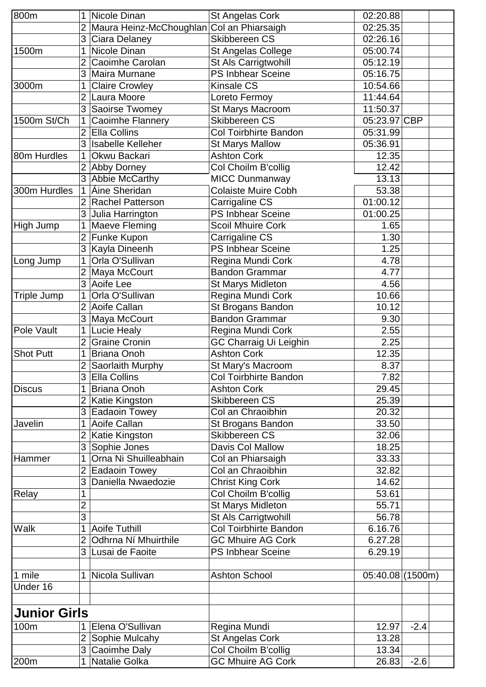| 800m                |                | Nicole Dinan                              | St Angelas Cork               | 02:20.88         |        |  |
|---------------------|----------------|-------------------------------------------|-------------------------------|------------------|--------|--|
|                     | $\overline{2}$ | Maura Heinz-McChoughlan Col an Phiarsaigh |                               | 02:25.35         |        |  |
|                     | 3              | Ciara Delaney                             | Skibbereen CS                 | 02:26.16         |        |  |
| 1500m               |                | Nicole Dinan                              | St Angelas College            | 05:00.74         |        |  |
|                     | 2              | Caoimhe Carolan                           | St Als Carrigtwohill          | 05:12.19         |        |  |
|                     | 3              | Maira Murnane                             | <b>PS Inbhear Sceine</b>      | 05:16.75         |        |  |
| 3000m               |                | <b>Claire Crowley</b>                     | <b>Kinsale CS</b>             | 10:54.66         |        |  |
|                     | $\overline{2}$ | Laura Moore                               | Loreto Fermoy                 | 11:44.64         |        |  |
|                     | 3              | Saoirse Twomey                            | St Marys Macroom              | 11:50.37         |        |  |
| 1500m St/Ch         | 1              | Caoimhe Flannery                          | Skibbereen CS                 | 05:23.97 CBP     |        |  |
|                     | 2              | Ella Collins                              | <b>Col Toirbhirte Bandon</b>  | 05:31.99         |        |  |
|                     | 3              | <b>Isabelle Kelleher</b>                  | <b>St Marys Mallow</b>        | 05:36.91         |        |  |
| 80m Hurdles         | 1              | Okwu Backari                              | <b>Ashton Cork</b>            | 12.35            |        |  |
|                     |                | Abby Dorney                               | Col Choilm B'collig           | 12.42            |        |  |
|                     |                | Abbie McCarthy                            | <b>MICC Dunmanway</b>         | 13.13            |        |  |
| 300m Hurdles        |                | Áine Sheridan                             | <b>Colaiste Muire Cobh</b>    | 53.38            |        |  |
|                     |                | <b>Rachel Patterson</b>                   | Carrigaline CS                | 01:00.12         |        |  |
|                     | 3              | Julia Harrington                          | <b>PS Inbhear Sceine</b>      | 01:00.25         |        |  |
| High Jump           |                | Maeve Fleming                             | <b>Scoil Mhuire Cork</b>      | 1.65             |        |  |
|                     | $\overline{2}$ | Funke Kupon                               | Carrigaline CS                | 1.30             |        |  |
|                     | 3              | Kayla Dineenh                             | <b>PS Inbhear Sceine</b>      | 1.25             |        |  |
| Long Jump           |                | Orla O'Sullivan                           | Regina Mundi Cork             | 4.78             |        |  |
|                     |                | Maya McCourt                              | Bandon Grammar                | 4.77             |        |  |
|                     | 3              | Aoife Lee                                 | St Marys Midleton             | 4.56             |        |  |
| Triple Jump         |                | Orla O'Sullivan                           | Regina Mundi Cork             | 10.66            |        |  |
|                     | $\overline{2}$ | Aoife Callan                              | St Brogans Bandon             | 10.12            |        |  |
|                     | 3              | Maya McCourt                              | <b>Bandon Grammar</b>         | 9.30             |        |  |
| Pole Vault          |                | Lucie Healy                               | Regina Mundi Cork             | 2.55             |        |  |
|                     | 2              | <b>Graine Cronin</b>                      | <b>GC Charraig Ui Leighin</b> | 2.25             |        |  |
| <b>Shot Putt</b>    |                | <b>Briana Onoh</b>                        | <b>Ashton Cork</b>            | 12.35            |        |  |
|                     | 2              | Saorlaith Murphy                          | St Mary's Macroom             | 8.37             |        |  |
|                     | $\overline{3}$ | <b>Ella Collins</b>                       | Col Toirbhirte Bandon         | 7.82             |        |  |
| <b>Discus</b>       |                | <b>Briana Onoh</b>                        | <b>Ashton Cork</b>            | 29.45            |        |  |
|                     |                | 2 Katie Kingston                          | Skibbereen CS                 | 25.39            |        |  |
|                     | 3              | Eadaoin Towey                             | Col an Chraoibhin             | 20.32            |        |  |
| Javelin             |                | Aoife Callan                              | St Brogans Bandon             | 33.50            |        |  |
|                     | $\overline{2}$ | Katie Kingston                            | Skibbereen CS                 | 32.06            |        |  |
|                     | 3              | Sophie Jones                              | Davis Col Mallow              | 18.25            |        |  |
| Hammer              | 1              | Orna Ni Shuilleabhain                     | Col an Phiarsaigh             | 33.33            |        |  |
|                     | 2              | <b>Eadaoin Towey</b>                      | Col an Chraoibhin             | 32.82            |        |  |
|                     | 3              | Daniella Nwaedozie                        | <b>Christ King Cork</b>       | 14.62            |        |  |
| Relay               |                |                                           | Col Choilm B'collig           | 53.61            |        |  |
|                     | $\overline{2}$ |                                           | St Marys Midleton             | 55.71            |        |  |
|                     | 3              |                                           | St Als Carrigtwohill          | 56.78            |        |  |
| <b>Walk</b>         |                | <b>Aoife Tuthill</b>                      | <b>Col Toirbhirte Bandon</b>  | 6.16.76          |        |  |
|                     | 2              | Odhrna Ní Mhuirthile                      | <b>GC Mhuire AG Cork</b>      | 6.27.28          |        |  |
|                     | 3              | Lusai de Faoite                           | <b>PS Inbhear Sceine</b>      | 6.29.19          |        |  |
|                     |                |                                           |                               |                  |        |  |
| 1 mile              |                | Nicola Sullivan                           | <b>Ashton School</b>          | 05:40.08 (1500m) |        |  |
| Under 16            |                |                                           |                               |                  |        |  |
|                     |                |                                           |                               |                  |        |  |
| <b>Junior Girls</b> |                |                                           |                               |                  |        |  |
| 100m                |                | Elena O'Sullivan                          | Regina Mundi                  | 12.97            | $-2.4$ |  |
|                     | $\overline{2}$ | Sophie Mulcahy                            | St Angelas Cork               | 13.28            |        |  |
|                     | 3 <sup>1</sup> | Caoimhe Daly                              | Col Choilm B'collig           | 13.34            |        |  |
| 200m                |                | Natalie Golka                             | <b>GC Mhuire AG Cork</b>      | 26.83            | $-2.6$ |  |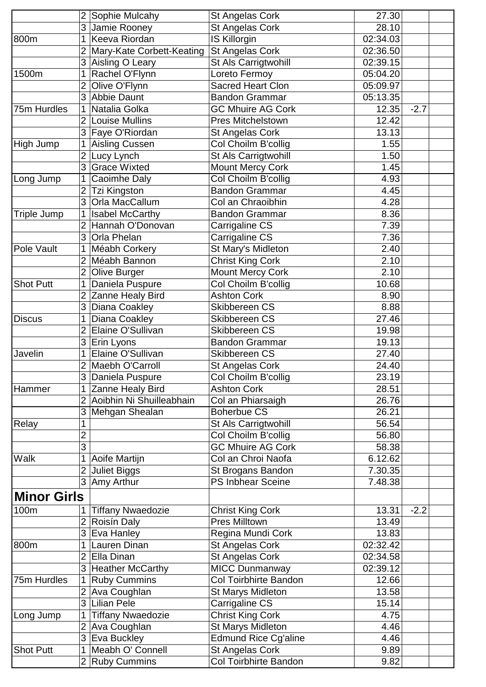|                    |                     | Sophie Mulcahy                      | St Angelas Cork                                 | 27.30             |        |  |
|--------------------|---------------------|-------------------------------------|-------------------------------------------------|-------------------|--------|--|
|                    | 3                   | Jamie Rooney                        | St Angelas Cork                                 | 28.10             |        |  |
| 800m               |                     | Keeva Riordan                       | <b>IS Killorgin</b>                             | 02:34.03          |        |  |
|                    |                     | Mary-Kate Corbett-Keating           | St Angelas Cork                                 | 02:36.50          |        |  |
|                    | 3                   | Aisling O Leary                     | St Als Carrigtwohill                            | 02:39.15          |        |  |
| 1500m              |                     | Rachel O'Flynn                      | Loreto Fermoy                                   | 05:04.20          |        |  |
|                    | $\overline{2}$      | Olive O'Flynn                       | <b>Sacred Heart Clon</b>                        | 05:09.97          |        |  |
|                    | 3                   | <b>Abbie Daunt</b>                  | <b>Bandon Grammar</b>                           | 05:13.35          |        |  |
| 75m Hurdles        |                     | Natalia Golka                       | <b>GC Mhuire AG Cork</b>                        | 12.35             | $-2.7$ |  |
|                    | $\overline{2}$      | <b>Louise Mullins</b>               | <b>Pres Mitchelstown</b>                        | 12.42             |        |  |
|                    | 3                   | Faye O'Riordan                      | St Angelas Cork                                 | 13.13             |        |  |
| High Jump          |                     | <b>Aisling Cussen</b>               | Col Choilm B'collig                             | 1.55              |        |  |
|                    | $\overline{2}$      | Lucy Lynch                          | St Als Carrigtwohill                            | 1.50              |        |  |
|                    | 3                   | <b>Grace Wixted</b>                 | <b>Mount Mercy Cork</b>                         | 1.45              |        |  |
| Long Jump          |                     | Caoimhe Daly                        | Col Choilm B'collig                             | 4.93              |        |  |
|                    | 2                   | <b>Tzi Kingston</b>                 | <b>Bandon Grammar</b>                           | 4.45              |        |  |
|                    | 3                   | Orla MacCallum                      | Col an Chraoibhin                               | 4.28              |        |  |
| <b>Triple Jump</b> |                     | <b>Isabel McCarthy</b>              | <b>Bandon Grammar</b>                           | 8.36              |        |  |
|                    | 2                   | Hannah O'Donovan                    | Carrigaline CS                                  | 7.39              |        |  |
|                    | 3                   | Orla Phelan                         | Carrigaline CS                                  | 7.36              |        |  |
| Pole Vault         |                     | Méabh Corkery                       | St Mary's Midleton                              | 2.40              |        |  |
|                    |                     | Méabh Bannon                        | <b>Christ King Cork</b>                         | 2.10              |        |  |
|                    | $\overline{2}$      | <b>Olive Burger</b>                 | <b>Mount Mercy Cork</b>                         | 2.10              |        |  |
| <b>Shot Putt</b>   |                     | Daniela Puspure                     | Col Choilm B'collig                             | 10.68             |        |  |
|                    | 2                   | Zanne Healy Bird                    | <b>Ashton Cork</b>                              | 8.90              |        |  |
|                    | 3                   | Diana Coakley                       | Skibbereen CS                                   | 8.88              |        |  |
| <b>Discus</b>      |                     | Diana Coakley                       | <b>Skibbereen CS</b>                            | 27.46             |        |  |
|                    | $\overline{2}$      | Elaine O'Sullivan                   | Skibbereen CS                                   | 19.98             |        |  |
|                    | 3                   | Erin Lyons                          | <b>Bandon Grammar</b>                           | 19.13             |        |  |
| Javelin            |                     | Elaine O'Sullivan                   | Skibbereen CS                                   | 27.40             |        |  |
|                    |                     | Maebh O'Carroll                     | St Angelas Cork                                 | 24.40             |        |  |
|                    | 3                   | Daniela Puspure                     | Col Choilm B'collig                             | 23.19             |        |  |
| Hammer             |                     | Zanne Healy Bird                    | <b>Ashton Cork</b>                              | 28.51             |        |  |
|                    | $\overline{2}$      | Aoibhin Ni Shuilleabhain            | Col an Phiarsaigh                               | 26.76             |        |  |
|                    | 3                   | Mehgan Shealan                      | <b>Boherbue CS</b>                              | 26.21             |        |  |
| Relay              |                     |                                     | St Als Carrigtwohill                            | 56.54             |        |  |
|                    | $\overline{c}$      |                                     | Col Choilm B'collig                             | 56.80             |        |  |
|                    | 3                   |                                     | <b>GC Mhuire AG Cork</b>                        | 58.38             |        |  |
| <b>Walk</b>        |                     | Aoife Martijn                       | Col an Chroi Naofa                              | 6.12.62           |        |  |
|                    | $\overline{2}$      | <b>Juliet Biggs</b>                 | St Brogans Bandon                               | 7.30.35           |        |  |
|                    | 3                   | Amy Arthur                          | <b>PS Inbhear Sceine</b>                        | 7.48.38           |        |  |
| <b>Minor Girls</b> |                     |                                     |                                                 |                   |        |  |
|                    |                     |                                     |                                                 |                   |        |  |
| 100m               | $\overline{2}$      | <b>Tiffany Nwaedozie</b>            | <b>Christ King Cork</b><br><b>Pres Milltown</b> | 13.31             | $-2.2$ |  |
|                    |                     | Roisín Daly                         |                                                 | 13.49             |        |  |
|                    | 3                   | Eva Hanley<br>Lauren Dinan          | Regina Mundi Cork                               | 13.83<br>02:32.42 |        |  |
| 800m               |                     |                                     | St Angelas Cork                                 |                   |        |  |
|                    | $\overline{2}$<br>3 | Ella Dinan                          | St Angelas Cork<br><b>MICC Dunmanway</b>        | 02:34.58          |        |  |
| 75m Hurdles        |                     | <b>Heather McCarthy</b>             | <b>Col Toirbhirte Bandon</b>                    | 02:39.12<br>12.66 |        |  |
|                    | $\overline{2}$      | <b>Ruby Cummins</b><br>Ava Coughlan |                                                 | 13.58             |        |  |
|                    | 3                   | <b>Lilian Pele</b>                  | St Marys Midleton                               | 15.14             |        |  |
|                    |                     | <b>Tiffany Nwaedozie</b>            | Carrigaline CS<br><b>Christ King Cork</b>       | 4.75              |        |  |
| Long Jump          | $\overline{2}$      |                                     |                                                 | 4.46              |        |  |
|                    | 3                   | Ava Coughlan                        | St Marys Midleton<br>Edmund Rice Cg'aline       | 4.46              |        |  |
| <b>Shot Putt</b>   | 1                   | Eva Buckley<br>Meabh O' Connell     | St Angelas Cork                                 | 9.89              |        |  |
|                    | 2 <sup>1</sup>      | <b>Ruby Cummins</b>                 | <b>Col Toirbhirte Bandon</b>                    | 9.82              |        |  |
|                    |                     |                                     |                                                 |                   |        |  |